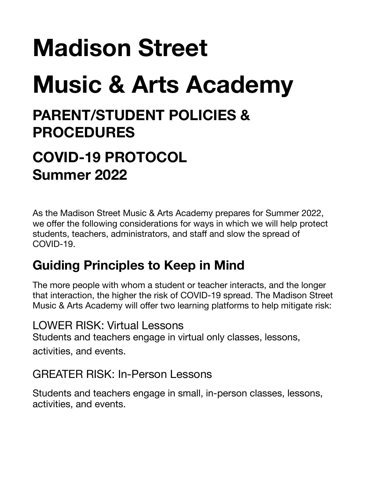# **Madison Street Music & Arts Academy**

## **PARENT/STUDENT POLICIES & PROCEDURES**

## **COVID-19 PROTOCOL Summer 2022**

As the Madison Street Music & Arts Academy prepares for Summer 2022, we offer the following considerations for ways in which we will help protect students, teachers, administrators, and staff and slow the spread of COVID-19.

## **Guiding Principles to Keep in Mind**

The more people with whom a student or teacher interacts, and the longer that interaction, the higher the risk of COVID-19 spread. The Madison Street Music & Arts Academy will offer two learning platforms to help mitigate risk:

LOWER RISK: Virtual Lessons Students and teachers engage in virtual only classes, lessons, activities, and events.

#### GREATER RISK: In-Person Lessons

Students and teachers engage in small, in-person classes, lessons, activities, and events.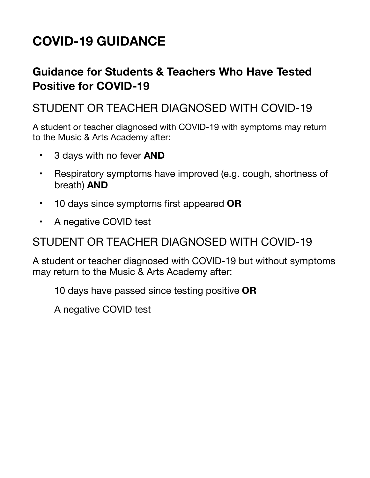## **COVID-19 GUIDANCE**

#### **Guidance for Students & Teachers Who Have Tested Positive for COVID-19**

#### STUDENT OR TEACHER DIAGNOSED WITH COVID-19

A student or teacher diagnosed with COVID-19 with symptoms may return to the Music & Arts Academy after:

- 3 days with no fever **AND**
- Respiratory symptoms have improved (e.g. cough, shortness of breath) **AND**
- 10 days since symptoms first appeared **OR**
- A negative COVID test

#### STUDENT OR TEACHER DIAGNOSED WITH COVID-19

A student or teacher diagnosed with COVID-19 but without symptoms may return to the Music & Arts Academy after:

10 days have passed since testing positive **OR** 

A negative COVID test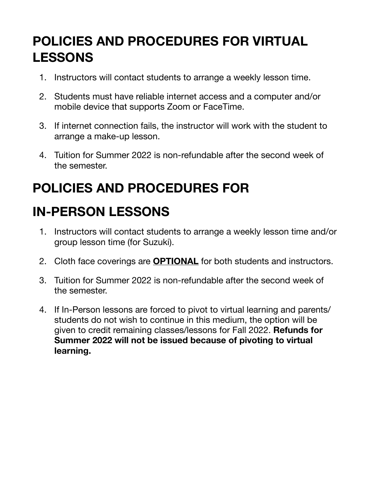#### **POLICIES AND PROCEDURES FOR VIRTUAL LESSONS**

- 1. Instructors will contact students to arrange a weekly lesson time.
- 2. Students must have reliable internet access and a computer and/or mobile device that supports Zoom or FaceTime.
- 3. If internet connection fails, the instructor will work with the student to arrange a make-up lesson.
- 4. Tuition for Summer 2022 is non-refundable after the second week of the semester.

## **POLICIES AND PROCEDURES FOR**

## **IN-PERSON LESSONS**

- 1. Instructors will contact students to arrange a weekly lesson time and/or group lesson time (for Suzuki).
- 2. Cloth face coverings are **OPTIONAL** for both students and instructors.
- 3. Tuition for Summer 2022 is non-refundable after the second week of the semester.
- 4. If In-Person lessons are forced to pivot to virtual learning and parents/ students do not wish to continue in this medium, the option will be given to credit remaining classes/lessons for Fall 2022. **Refunds for Summer 2022 will not be issued because of pivoting to virtual learning.**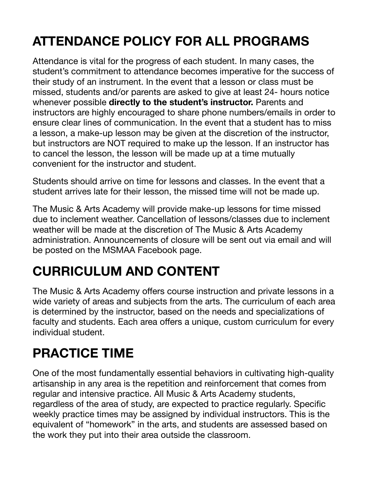## **ATTENDANCE POLICY FOR ALL PROGRAMS**

Attendance is vital for the progress of each student. In many cases, the student's commitment to attendance becomes imperative for the success of their study of an instrument. In the event that a lesson or class must be missed, students and/or parents are asked to give at least 24- hours notice whenever possible **directly to the student's instructor.** Parents and instructors are highly encouraged to share phone numbers/emails in order to ensure clear lines of communication. In the event that a student has to miss a lesson, a make-up lesson may be given at the discretion of the instructor, but instructors are NOT required to make up the lesson. If an instructor has to cancel the lesson, the lesson will be made up at a time mutually convenient for the instructor and student.

Students should arrive on time for lessons and classes. In the event that a student arrives late for their lesson, the missed time will not be made up.

The Music & Arts Academy will provide make-up lessons for time missed due to inclement weather. Cancellation of lessons/classes due to inclement weather will be made at the discretion of The Music & Arts Academy administration. Announcements of closure will be sent out via email and will be posted on the MSMAA Facebook page.

## **CURRICULUM AND CONTENT**

The Music & Arts Academy offers course instruction and private lessons in a wide variety of areas and subjects from the arts. The curriculum of each area is determined by the instructor, based on the needs and specializations of faculty and students. Each area offers a unique, custom curriculum for every individual student.

## **PRACTICE TIME**

One of the most fundamentally essential behaviors in cultivating high-quality artisanship in any area is the repetition and reinforcement that comes from regular and intensive practice. All Music & Arts Academy students, regardless of the area of study, are expected to practice regularly. Specific weekly practice times may be assigned by individual instructors. This is the equivalent of "homework" in the arts, and students are assessed based on the work they put into their area outside the classroom.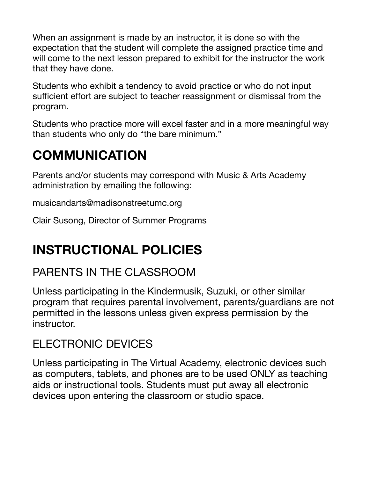When an assignment is made by an instructor, it is done so with the expectation that the student will complete the assigned practice time and will come to the next lesson prepared to exhibit for the instructor the work that they have done.

Students who exhibit a tendency to avoid practice or who do not input sufficient effort are subject to teacher reassignment or dismissal from the program.

Students who practice more will excel faster and in a more meaningful way than students who only do "the bare minimum."

#### **COMMUNICATION**

Parents and/or students may correspond with Music & Arts Academy administration by emailing the following:

[musicandarts@madisonstreetumc.org](mailto:musicandarts@madisonstreetumc.org)

Clair Susong, Director of Summer Programs

#### **INSTRUCTIONAL POLICIES**

#### PARENTS IN THE CLASSROOM

Unless participating in the Kindermusik, Suzuki, or other similar program that requires parental involvement, parents/guardians are not permitted in the lessons unless given express permission by the instructor.

#### ELECTRONIC DEVICES

Unless participating in The Virtual Academy, electronic devices such as computers, tablets, and phones are to be used ONLY as teaching aids or instructional tools. Students must put away all electronic devices upon entering the classroom or studio space.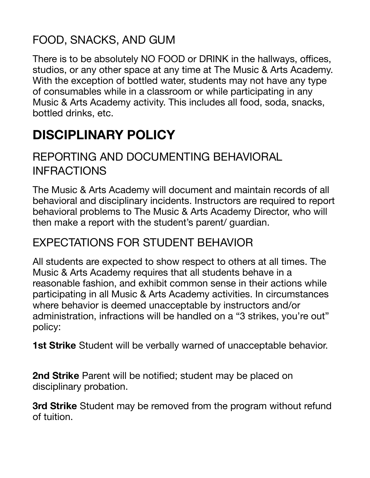#### FOOD, SNACKS, AND GUM

There is to be absolutely NO FOOD or DRINK in the hallways, offices, studios, or any other space at any time at The Music & Arts Academy. With the exception of bottled water, students may not have any type of consumables while in a classroom or while participating in any Music & Arts Academy activity. This includes all food, soda, snacks, bottled drinks, etc.

#### **DISCIPLINARY POLICY**

#### REPORTING AND DOCUMENTING BEHAVIORAL INFRACTIONS

The Music & Arts Academy will document and maintain records of all behavioral and disciplinary incidents. Instructors are required to report behavioral problems to The Music & Arts Academy Director, who will then make a report with the student's parent/ guardian.

#### EXPECTATIONS FOR STUDENT BEHAVIOR

All students are expected to show respect to others at all times. The Music & Arts Academy requires that all students behave in a reasonable fashion, and exhibit common sense in their actions while participating in all Music & Arts Academy activities. In circumstances where behavior is deemed unacceptable by instructors and/or administration, infractions will be handled on a "3 strikes, you're out" policy:

**1st Strike** Student will be verbally warned of unacceptable behavior.

**2nd Strike** Parent will be notified; student may be placed on disciplinary probation.

**3rd Strike** Student may be removed from the program without refund of tuition.